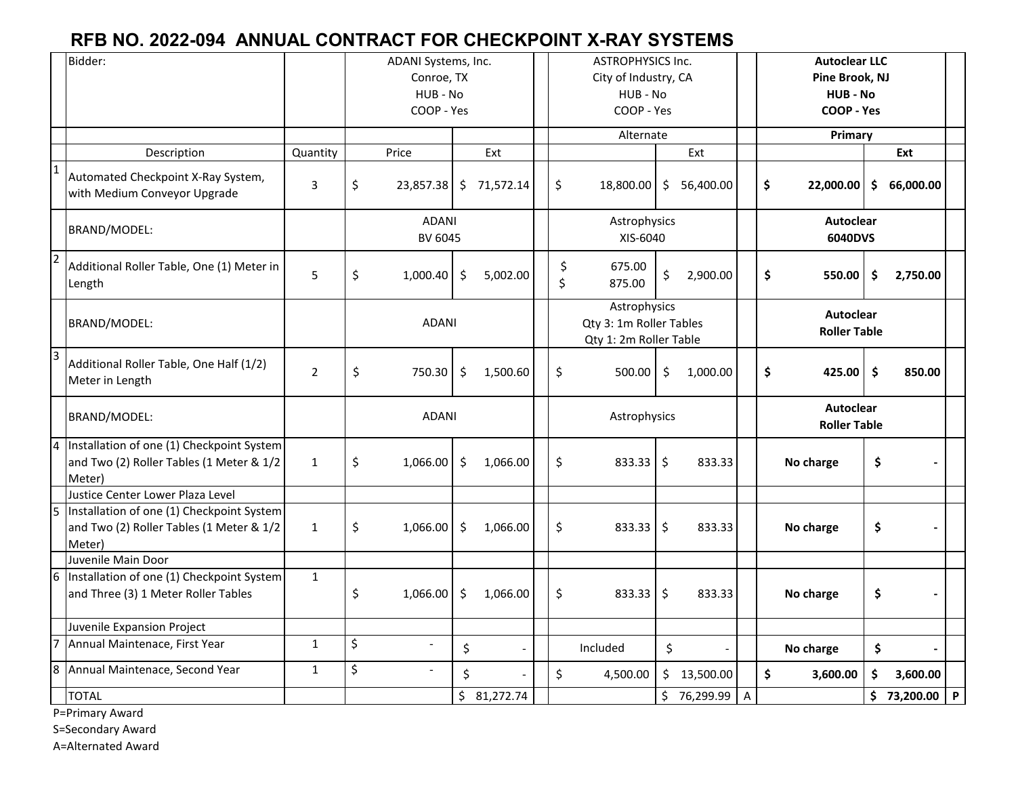## **RFB NO. 2022-094 ANNUAL CONTRACT FOR CHECKPOINT X-RAY SYSTEMS**

|                  | Bidder:                                                                                         |                | ADANI Systems, Inc.<br>Conroe, TX<br>HUB - No<br>COOP - Yes |                |         |             |  | <b>ASTROPHYSICS Inc.</b><br>City of Industry, CA<br>HUB - No<br>COOP - Yes |                  |                     |             |                                         | <b>Autoclear LLC</b><br>Pine Brook, NJ<br>HUB - No<br>COOP - Yes |           |    |             |   |
|------------------|-------------------------------------------------------------------------------------------------|----------------|-------------------------------------------------------------|----------------|---------|-------------|--|----------------------------------------------------------------------------|------------------|---------------------|-------------|-----------------------------------------|------------------------------------------------------------------|-----------|----|-------------|---|
|                  |                                                                                                 |                |                                                             |                |         |             |  | Alternate                                                                  |                  |                     |             | Primary                                 |                                                                  |           |    |             |   |
|                  | Description                                                                                     | Quantity       |                                                             | Price          |         | Ext         |  |                                                                            |                  |                     | Ext         |                                         |                                                                  |           |    | Ext         |   |
| $\mathbf{1}$     | Automated Checkpoint X-Ray System,<br>with Medium Conveyor Upgrade                              | 3              | \$                                                          | 23,857.38      |         | \$71,572.14 |  | \$                                                                         | 18,800.00        |                     | \$56,400.00 |                                         | \$                                                               | 22,000.00 | \$ | 66,000.00   |   |
|                  | BRAND/MODEL:                                                                                    |                | <b>ADANI</b><br>BV 6045                                     |                |         |             |  | Astrophysics<br>XIS-6040                                                   |                  |                     |             |                                         | <b>Autoclear</b><br>6040DVS                                      |           |    |             |   |
| $\overline{2}$   | Additional Roller Table, One (1) Meter in<br>Length                                             | 5              | \$                                                          | 1,000.40       | \$      | 5,002.00    |  | \$<br>\$                                                                   | 675.00<br>875.00 | \$                  | 2,900.00    |                                         | \$                                                               | 550.00    | \$ | 2,750.00    |   |
|                  | BRAND/MODEL:                                                                                    |                | <b>ADANI</b>                                                |                |         |             |  | Astrophysics<br>Qty 3: 1m Roller Tables<br>Qty 1: 2m Roller Table          |                  |                     |             | <b>Autoclear</b><br><b>Roller Table</b> |                                                                  |           |    |             |   |
| $\overline{3}$   | Additional Roller Table, One Half (1/2)<br>Meter in Length                                      | $\overline{2}$ | \$                                                          | 750.30         | \$      | 1,500.60    |  | \$                                                                         | 500.00           | \$                  | 1,000.00    |                                         | \$                                                               | 425.00    | \$ | 850.00      |   |
|                  | BRAND/MODEL:                                                                                    |                | <b>ADANI</b>                                                |                |         |             |  | Astrophysics                                                               |                  |                     |             |                                         | <b>Autoclear</b><br><b>Roller Table</b>                          |           |    |             |   |
| $\overline{4}$   | Installation of one (1) Checkpoint System<br>and Two (2) Roller Tables (1 Meter & 1/2<br>Meter) | $\mathbf{1}$   | \$                                                          | 1,066.00       | \$      | 1,066.00    |  | \$                                                                         | $833.33$ \$      |                     | 833.33      |                                         |                                                                  | No charge | \$ |             |   |
|                  | Justice Center Lower Plaza Level                                                                |                |                                                             |                |         |             |  |                                                                            |                  |                     |             |                                         |                                                                  |           |    |             |   |
|                  | Installation of one (1) Checkpoint System<br>and Two (2) Roller Tables (1 Meter & 1/2<br>Meter) | $\mathbf{1}$   | \$                                                          | 1,066.00       | \$      | 1,066.00    |  | \$                                                                         | 833.33           | $\ddot{\mathsf{S}}$ | 833.33      |                                         |                                                                  | No charge | \$ |             |   |
|                  | Juvenile Main Door                                                                              |                |                                                             |                |         |             |  |                                                                            |                  |                     |             |                                         |                                                                  |           |    |             |   |
| 6                | Installation of one (1) Checkpoint System<br>and Three (3) 1 Meter Roller Tables                | $\mathbf{1}$   | \$                                                          | 1,066.00       | \$      | 1,066.00    |  | \$                                                                         | 833.33           | \$                  | 833.33      |                                         |                                                                  | No charge | \$ |             |   |
|                  | Juvenile Expansion Project                                                                      |                |                                                             |                |         |             |  |                                                                            |                  |                     |             |                                         |                                                                  |           |    |             |   |
| $\overline{7}$   | Annual Maintenace, First Year                                                                   | $\mathbf{1}$   | \$                                                          | $\sim$         | \$      |             |  |                                                                            | Included         | \$                  |             |                                         |                                                                  | No charge | \$ |             |   |
| $\boldsymbol{8}$ | Annual Maintenace, Second Year                                                                  | $\mathbf{1}$   | \$                                                          | $\overline{a}$ | $\zeta$ |             |  | \$                                                                         | 4,500.00         |                     | \$13,500.00 |                                         | \$                                                               | 3,600.00  | \$ | 3,600.00    |   |
|                  | <b>TOTAL</b>                                                                                    |                |                                                             |                |         | \$31,272.74 |  |                                                                            |                  |                     | \$76,299.99 | A                                       |                                                                  |           |    | \$73,200.00 | P |

P=Primary Award

S=Secondary Award

A=Alternated Award